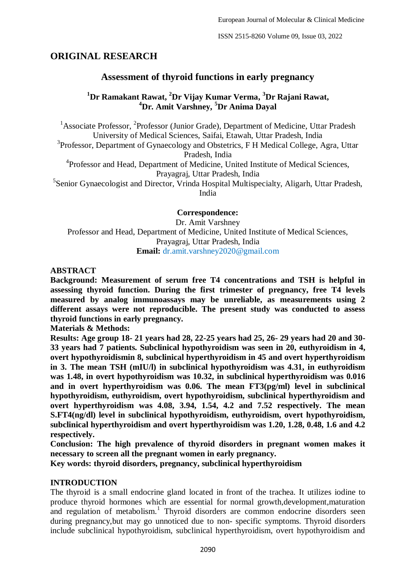ISSN 2515-8260 Volume 09, Issue 03, 2022

# **ORIGINAL RESEARCH**

# **Assessment of thyroid functions in early pregnancy**

# **<sup>1</sup>Dr Ramakant Rawat, <sup>2</sup>Dr Vijay Kumar Verma, <sup>3</sup>Dr Rajani Rawat, <sup>4</sup>Dr. Amit Varshney, <sup>5</sup>Dr Anima Dayal**

<sup>1</sup> Associate Professor, <sup>2</sup> Professor (Junior Grade), Department of Medicine, Uttar Pradesh University of Medical Sciences, Saifai, Etawah, Uttar Pradesh, India <sup>3</sup>Professor, Department of Gynaecology and Obstetrics, F H Medical College, Agra, Uttar Pradesh, India <sup>4</sup>Professor and Head, Department of Medicine, United Institute of Medical Sciences, Prayagraj, Uttar Pradesh, India <sup>5</sup>Senior Gynaecologist and Director, Vrinda Hospital Multispecialty, Aligarh, Uttar Pradesh, India

**Correspondence:** Dr. Amit Varshney Professor and Head, Department of Medicine, United Institute of Medical Sciences, Prayagraj, Uttar Pradesh, India **Email:** dr.amit.varshney2020@gmail.com

**ABSTRACT**

**Background: Measurement of serum free T4 concentrations and TSH is helpful in assessing thyroid function. During the first trimester of pregnancy, free T4 levels measured by analog immunoassays may be unreliable, as measurements using 2 different assays were not reproducible. The present study was conducted to assess thyroid functions in early pregnancy.**

**Materials & Methods:**

**Results: Age group 18- 21 years had 28, 22-25 years had 25, 26- 29 years had 20 and 30- 33 years had 7 patients. Subclinical hypothyroidism was seen in 20, euthyroidism in 4, overt hypothyroidismin 8, subclinical hyperthyroidism in 45 and overt hyperthyroidism in 3. The mean TSH (mIU/l) in subclinical hypothyroidism was 4.31, in euthyroidism was 1.48, in overt hypothyroidism was 10.32, in subclinical hyperthyroidism was 0.016 and in overt hyperthyroidism was 0.06. The mean FT3(pg/ml) level in subclinical hypothyroidism, euthyroidism, overt hypothyroidism, subclinical hyperthyroidism and overt hyperthyroidism was 4.08, 3.94, 1.54, 4.2 and 7.52 respectively. The mean S.FT4(ng/dl) level in subclinical hypothyroidism, euthyroidism, overt hypothyroidism, subclinical hyperthyroidism and overt hyperthyroidism was 1.20, 1.28, 0.48, 1.6 and 4.2 respectively.**

**Conclusion: The high prevalence of thyroid disorders in pregnant women makes it necessary to screen all the pregnant women in early pregnancy.**

**Key words: thyroid disorders, pregnancy, subclinical hyperthyroidism**

# **INTRODUCTION**

The thyroid is a small endocrine gland located in front of the trachea. It utilizes iodine to produce thyroid hormones which are essential for normal growth,development,maturation and regulation of metabolism.<sup>1</sup> Thyroid disorders are common endocrine disorders seen during pregnancy,but may go unnoticed due to non- specific symptoms. Thyroid disorders include subclinical hypothyroidism, subclinical hyperthyroidism, overt hypothyroidism and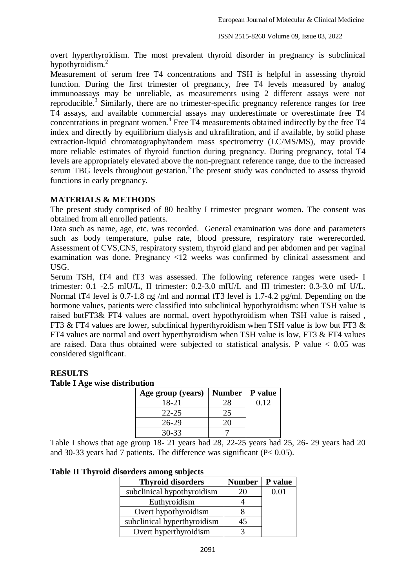overt hyperthyroidism. The most prevalent thyroid disorder in pregnancy is subclinical hypothyroidism.<sup>2</sup>

Measurement of serum free T4 concentrations and TSH is helpful in assessing thyroid function. During the first trimester of pregnancy, free T4 levels measured by analog immunoassays may be unreliable, as measurements using 2 different assays were not reproducible.<sup>3</sup> Similarly, there are no trimester-specific pregnancy reference ranges for free T4 assays, and available commercial assays may underestimate or overestimate free T4 concentrations in pregnant women.<sup>4</sup> Free T4 measurements obtained indirectly by the free T4 index and directly by equilibrium dialysis and ultrafiltration, and if available, by solid phase extraction-liquid chromatography/tandem mass spectrometry (LC/MS/MS), may provide more reliable estimates of thyroid function during pregnancy. During pregnancy, total T4 levels are appropriately elevated above the non-pregnant reference range, due to the increased serum TBG levels throughout gestation.<sup>5</sup>The present study was conducted to assess thyroid functions in early pregnancy.

# **MATERIALS & METHODS**

The present study comprised of 80 healthy I trimester pregnant women. The consent was obtained from all enrolled patients.

Data such as name, age, etc. was recorded. General examination was done and parameters such as body temperature, pulse rate, blood pressure, respiratory rate wererecorded. Assessment of CVS,CNS, respiratory system, thyroid gland and per abdomen and per vaginal examination was done. Pregnancy <12 weeks was confirmed by clinical assessment and USG.

Serum TSH, fT4 and fT3 was assessed. The following reference ranges were used- I trimester: 0.1 -2.5 mIU/L, II trimester: 0.2-3.0 mIU/L and III trimester: 0.3-3.0 mI U/L. Normal fT4 level is 0.7-1.8 ng /ml and normal fT3 level is 1.7-4.2 pg/ml. Depending on the hormone values, patients were classified into subclinical hypothyroidism: when TSH value is raised butFT3& FT4 values are normal, overt hypothyroidism when TSH value is raised , FT3 & FT4 values are lower, subclinical hyperthyroidism when TSH value is low but FT3  $\&$ FT4 values are normal and overt hyperthyroidism when TSH value is low, FT3 & FT4 values are raised. Data thus obtained were subjected to statistical analysis. P value  $< 0.05$  was considered significant.

## **RESULTS**

#### **Table I Age wise distribution**

| Age group (years) | <b>Number</b> | P value |
|-------------------|---------------|---------|
| 18-21             | 28            | 0.12    |
| $22 - 25$         |               |         |
| 26-29             |               |         |
| 30-33             |               |         |

Table I shows that age group 18- 21 years had 28, 22-25 years had 25, 26- 29 years had 20 and 30-33 years had 7 patients. The difference was significant (P< 0.05).

**Table II Thyroid disorders among subjects**

| <b>Thyroid disorders</b>    | <b>Number</b> | P value |
|-----------------------------|---------------|---------|
| subclinical hypothyroidism  | 20            | 0.01    |
| Euthyroidism                |               |         |
| Overt hypothyroidism        |               |         |
| subclinical hyperthyroidism | 45            |         |
| Overt hyperthyroidism       |               |         |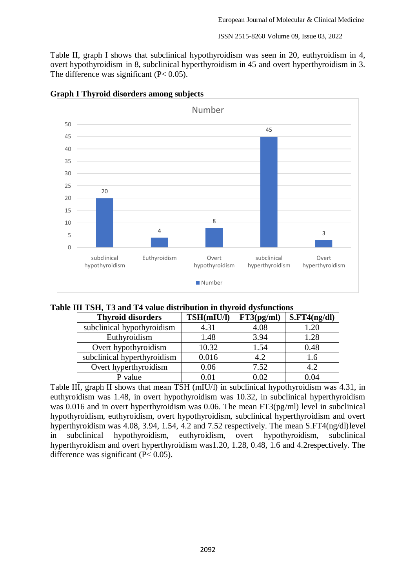ISSN 2515-8260 Volume 09, Issue 03, 2022

Table II, graph I shows that subclinical hypothyroidism was seen in 20, euthyroidism in 4, overt hypothyroidism in 8, subclinical hyperthyroidism in 45 and overt hyperthyroidism in 3. The difference was significant  $(P< 0.05)$ .



### **Graph I Thyroid disorders among subjects**

| Table III TSH, T3 and T4 value distribution in thyroid dysfunctions |
|---------------------------------------------------------------------|
|---------------------------------------------------------------------|

| <b>Thyroid disorders</b>    | TSH(mIU/l) | FT3(pg/ml) | S.FT4(ng/dl) |
|-----------------------------|------------|------------|--------------|
| subclinical hypothyroidism  | 4.31       | 4.08       | 1.20         |
| Euthyroidism                | 1.48       | 3.94       | 1.28         |
| Overt hypothyroidism        | 10.32      | 1.54       | 0.48         |
| subclinical hyperthyroidism | 0.016      | 4.2        | 1.6          |
| Overt hyperthyroidism       | 0.06       | 7.52       | 4.2          |
| P value                     | 0.01       | 1.02       | 104          |

Table III, graph II shows that mean TSH (mIU/l) in subclinical hypothyroidism was 4.31, in euthyroidism was 1.48, in overt hypothyroidism was 10.32, in subclinical hyperthyroidism was 0.016 and in overt hyperthyroidism was 0.06. The mean FT3(pg/ml) level in subclinical hypothyroidism, euthyroidism, overt hypothyroidism, subclinical hyperthyroidism and overt hyperthyroidism was 4.08, 3.94, 1.54, 4.2 and 7.52 respectively. The mean S.FT4(ng/dl)level in subclinical hypothyroidism, euthyroidism, overt hypothyroidism, subclinical hyperthyroidism and overt hyperthyroidism was1.20, 1.28, 0.48, 1.6 and 4.2respectively. The difference was significant  $(P< 0.05)$ .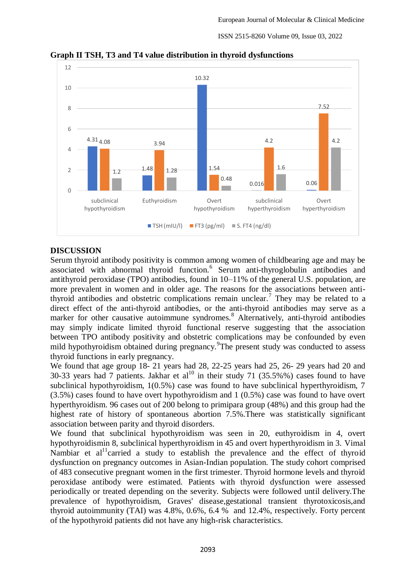ISSN 2515-8260 Volume 09, Issue 03, 2022



**Graph II TSH, T3 and T4 value distribution in thyroid dysfunctions**

### **DISCUSSION**

Serum thyroid antibody positivity is common among women of childbearing age and may be associated with abnormal thyroid function.<sup>6</sup> Serum anti-thyroglobulin antibodies and antithyroid peroxidase (TPO) antibodies, found in 10–11% of the general U.S. population, are more prevalent in women and in older age. The reasons for the associations between antithyroid antibodies and obstetric complications remain unclear.<sup>7</sup> They may be related to a direct effect of the anti-thyroid antibodies, or the anti-thyroid antibodies may serve as a marker for other causative autoimmune syndromes.<sup>8</sup> Alternatively, anti-thyroid antibodies may simply indicate limited thyroid functional reserve suggesting that the association between TPO antibody positivity and obstetric complications may be confounded by even mild hypothyroidism obtained during pregnancy. The present study was conducted to assess thyroid functions in early pregnancy.

We found that age group 18- 21 years had 28, 22-25 years had 25, 26- 29 years had 20 and 30-33 years had  $\frac{7}{3}$  patients. Jakhar et al<sup>10</sup> in their study 71 (35.5%%) cases found to have subclinical hypothyroidism, 1(0.5%) case was found to have subclinical hyperthyroidism, 7 (3.5%) cases found to have overt hypothyroidism and 1 (0.5%) case was found to have overt hyperthyroidism. 96 cases out of 200 belong to primipara group (48%) and this group had the highest rate of history of spontaneous abortion 7.5%. There was statistically significant association between parity and thyroid disorders.

We found that subclinical hypothyroidism was seen in 20, euthyroidism in 4, overt hypothyroidismin 8, subclinical hyperthyroidism in 45 and overt hyperthyroidism in 3. Vimal Nambiar et al<sup>11</sup>carried a study to establish the prevalence and the effect of thyroid dysfunction on pregnancy outcomes in Asian-Indian population. The study cohort comprised of 483 consecutive pregnant women in the first trimester. Thyroid hormone levels and thyroid peroxidase antibody were estimated. Patients with thyroid dysfunction were assessed periodically or treated depending on the severity. Subjects were followed until delivery.The prevalence of hypothyroidism, Graves' disease,gestational transient thyrotoxicosis,and thyroid autoimmunity (TAI) was 4.8%, 0.6%, 6.4 % and 12.4%, respectively. Forty percent of the hypothyroid patients did not have any high-risk characteristics.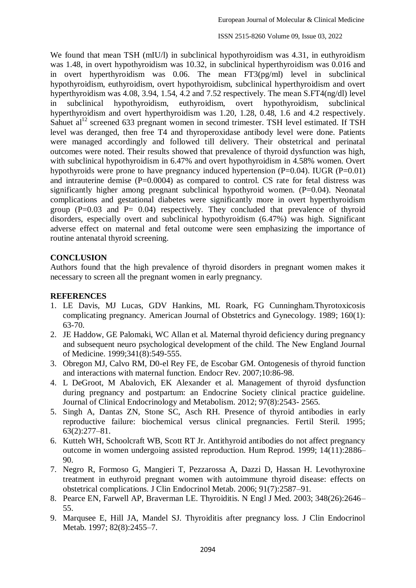We found that mean TSH (mIU/l) in subclinical hypothyroidism was 4.31, in euthyroidism was 1.48, in overt hypothyroidism was 10.32, in subclinical hyperthyroidism was 0.016 and in overt hyperthyroidism was 0.06. The mean FT3(pg/ml) level in subclinical hypothyroidism, euthyroidism, overt hypothyroidism, subclinical hyperthyroidism and overt hyperthyroidism was 4.08, 3.94, 1.54, 4.2 and 7.52 respectively. The mean S.FT4(ng/dl) level in subclinical hypothyroidism, euthyroidism, overt hypothyroidism, subclinical hyperthyroidism and overt hyperthyroidism was 1.20, 1.28, 0.48, 1.6 and 4.2 respectively. Sahuet  $al<sup>12</sup>$  screened 633 pregnant women in second trimester. TSH level estimated. If TSH level was deranged, then free T4 and thyroperoxidase antibody level were done. Patients were managed accordingly and followed till delivery. Their obstetrical and perinatal outcomes were noted. Their results showed that prevalence of thyroid dysfunction was high, with subclinical hypothyroidism in 6.47% and overt hypothyroidism in 4.58% women. Overt hypothyroids were prone to have pregnancy induced hypertension  $(P=0.04)$ . IUGR  $(P=0.01)$ and intrauterine demise  $(P=0.0004)$  as compared to control. CS rate for fetal distress was significantly higher among pregnant subclinical hypothyroid women. (P=0.04). Neonatal complications and gestational diabetes were significantly more in overt hyperthyroidism group  $(P=0.03$  and  $P= 0.04$ ) respectively. They concluded that prevalence of thyroid disorders, especially overt and subclinical hypothyroidism (6.47%) was high. Significant adverse effect on maternal and fetal outcome were seen emphasizing the importance of routine antenatal thyroid screening.

# **CONCLUSION**

Authors found that the high prevalence of thyroid disorders in pregnant women makes it necessary to screen all the pregnant women in early pregnancy.

## **REFERENCES**

- 1. LE Davis, MJ Lucas, GDV Hankins, ML Roark, FG Cunningham.Thyrotoxicosis complicating pregnancy. American Journal of Obstetrics and Gynecology. 1989; 160(1): 63-70.
- 2. JE Haddow, GE Palomaki, WC Allan et al. Maternal thyroid deficiency during pregnancy and subsequent neuro psychological development of the child. The New England Journal of Medicine. 1999;341(8):549-555.
- 3. Obregon MJ, Calvo RM, D0-el Rey FE, de Escobar GM. Ontogenesis of thyroid function and interactions with maternal function. Endocr Rev. 2007;10:86-98.
- 4. L DeGroot, M Abalovich, EK Alexander et al. Management of thyroid dysfunction during pregnancy and postpartum: an Endocrine Society clinical practice guideline. Journal of Clinical Endocrinology and Metabolism. 2012; 97(8):2543- 2565.
- 5. Singh A, Dantas ZN, Stone SC, Asch RH. Presence of thyroid antibodies in early reproductive failure: biochemical versus clinical pregnancies. Fertil Steril. 1995; 63(2):277–81.
- 6. Kutteh WH, Schoolcraft WB, Scott RT Jr. Antithyroid antibodies do not affect pregnancy outcome in women undergoing assisted reproduction. Hum Reprod. 1999; 14(11):2886– 90.
- 7. Negro R, Formoso G, Mangieri T, Pezzarossa A, Dazzi D, Hassan H. Levothyroxine treatment in euthyroid pregnant women with autoimmune thyroid disease: effects on obstetrical complications. J Clin Endocrinol Metab. 2006; 91(7):2587–91.
- 8. Pearce EN, Farwell AP, Braverman LE. Thyroiditis. N Engl J Med. 2003; 348(26):2646– 55.
- 9. Marqusee E, Hill JA, Mandel SJ. Thyroiditis after pregnancy loss. J Clin Endocrinol Metab. 1997; 82(8):2455–7.